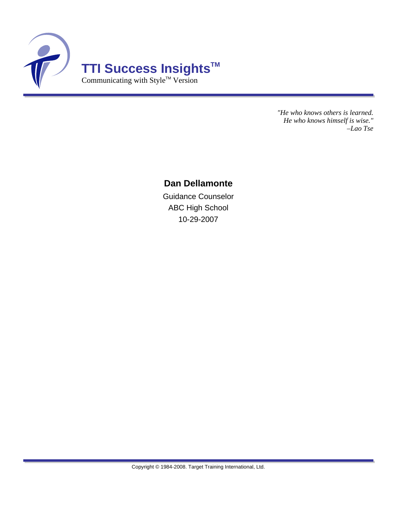

*"He who knows others is learned. He who knows himself is wise." –Lao Tse*

### **Dan Dellamonte**

Guidance Counselor ABC High School 10-29-2007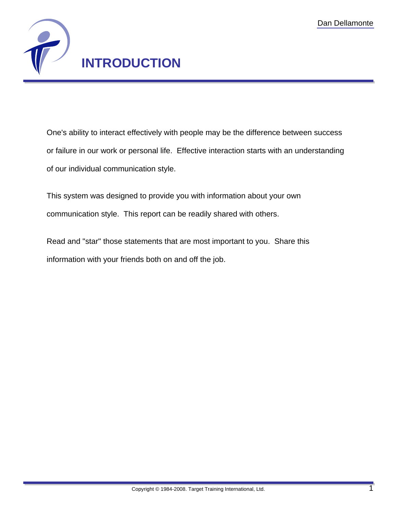

One's ability to interact effectively with people may be the difference between success or failure in our work or personal life. Effective interaction starts with an understanding of our individual communication style.

This system was designed to provide you with information about your own communication style. This report can be readily shared with others.

Read and "star" those statements that are most important to you. Share this information with your friends both on and off the job.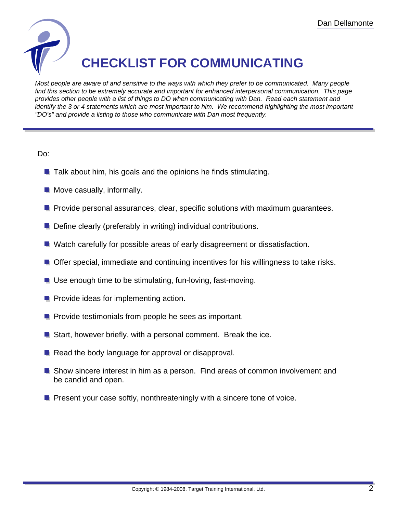

# **CHECKLIST FOR COMMUNICATING**

Most people are aware of and sensitive to the ways with which they prefer to be communicated. Many people find this section to be extremely accurate and important for enhanced interpersonal communication. This page provides other people with a list of things to DO when communicating with Dan. Read each statement and identify the 3 or 4 statements which are most important to him. We recommend highlighting the most important "DO's" and provide a listing to those who communicate with Dan most frequently.

Do:

- $\blacksquare$  Talk about him, his goals and the opinions he finds stimulating.
- $\blacksquare$  Move casually, informally.
- **P** Provide personal assurances, clear, specific solutions with maximum quarantees.
- **Define clearly (preferably in writing) individual contributions.**
- **Watch carefully for possible areas of early disagreement or dissatisfaction.**
- **Offer special, immediate and continuing incentives for his willingness to take risks.**
- **Use enough time to be stimulating, fun-loving, fast-moving.**
- **Provide ideas for implementing action.**
- **P** Provide testimonials from people he sees as important.
- **E** Start, however briefly, with a personal comment. Break the ice.
- $\blacksquare$  Read the body language for approval or disapproval.
- **E** Show sincere interest in him as a person. Find areas of common involvement and be candid and open.
- **P** Present your case softly, nonthreateningly with a sincere tone of voice.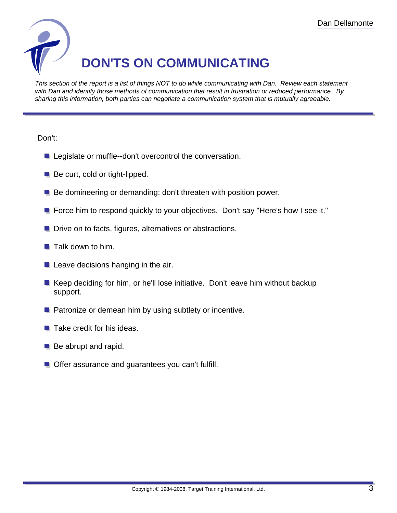

This section of the report is a list of things NOT to do while communicating with Dan. Review each statement with Dan and identify those methods of communication that result in frustration or reduced performance. By sharing this information, both parties can negotiate a communication system that is mutually agreeable.

#### Don't:

- **Legislate or muffle--don't overcontrol the conversation.**
- $\blacksquare$  Be curt, cold or tight-lipped.
- **Be domineering or demanding; don't threaten with position power.**
- **F** Force him to respond quickly to your objectives. Don't say "Here's how I see it."
- **Drive on to facts, figures, alternatives or abstractions.**
- $\blacksquare$  Talk down to him.
- $\blacksquare$  Leave decisions hanging in the air.
- Keep deciding for him, or he'll lose initiative. Don't leave him without backup support.
- **Patronize or demean him by using subtlety or incentive.**
- $\blacksquare$  Take credit for his ideas.
- **Be abrupt and rapid.**
- **Offer assurance and guarantees you can't fulfill.**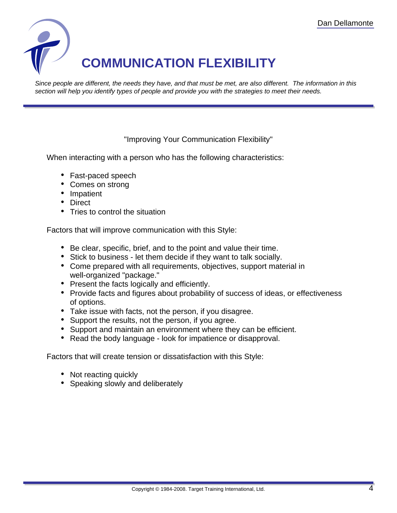

Since people are different, the needs they have, and that must be met, are also different. The information in this section will help you identify types of people and provide you with the strategies to meet their needs.

### "Improving Your Communication Flexibility"

When interacting with a person who has the following characteristics:

- Fast-paced speech
- Comes on strong
- Impatient
- Direct
- Tries to control the situation

Factors that will improve communication with this Style:

- Be clear, specific, brief, and to the point and value their time.
- Stick to business let them decide if they want to talk socially.
- Come prepared with all requirements, objectives, support material in well-organized "package."
- Present the facts logically and efficiently.
- Provide facts and figures about probability of success of ideas, or effectiveness of options.
- Take issue with facts, not the person, if you disagree.
- Support the results, not the person, if you agree.
- Support and maintain an environment where they can be efficient.
- Read the body language look for impatience or disapproval.

- Not reacting quickly
- Speaking slowly and deliberately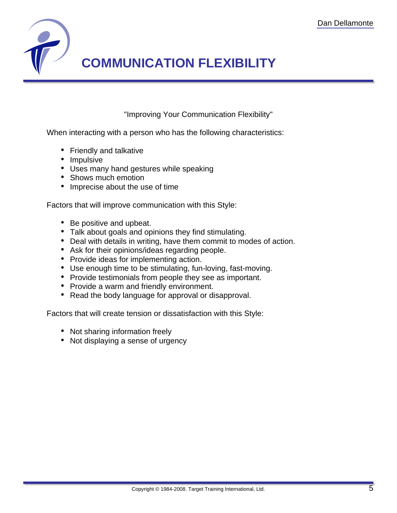

"Improving Your Communication Flexibility"

When interacting with a person who has the following characteristics:

- Friendly and talkative
- Impulsive
- Uses many hand gestures while speaking
- Shows much emotion
- Imprecise about the use of time

Factors that will improve communication with this Style:

- Be positive and upbeat.
- Talk about goals and opinions they find stimulating.
- Deal with details in writing, have them commit to modes of action.
- Ask for their opinions/ideas regarding people.
- Provide ideas for implementing action.
- Use enough time to be stimulating, fun-loving, fast-moving.
- Provide testimonials from people they see as important.
- Provide a warm and friendly environment.
- Read the body language for approval or disapproval.

- Not sharing information freely
- Not displaying a sense of urgency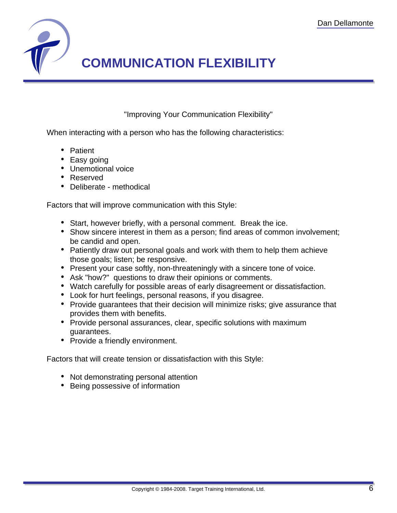

"Improving Your Communication Flexibility"

When interacting with a person who has the following characteristics:

- Patient
- Easy going
- Unemotional voice
- Reserved
- Deliberate methodical

Factors that will improve communication with this Style:

- Start, however briefly, with a personal comment. Break the ice.
- Show sincere interest in them as a person; find areas of common involvement; be candid and open.
- Patiently draw out personal goals and work with them to help them achieve those goals; listen; be responsive.
- Present your case softly, non-threateningly with a sincere tone of voice.
- Ask "how?" questions to draw their opinions or comments.
- Watch carefully for possible areas of early disagreement or dissatisfaction.
- Look for hurt feelings, personal reasons, if you disagree.
- Provide guarantees that their decision will minimize risks; give assurance that provides them with benefits.
- Provide personal assurances, clear, specific solutions with maximum guarantees.
- Provide a friendly environment.

- Not demonstrating personal attention
- Being possessive of information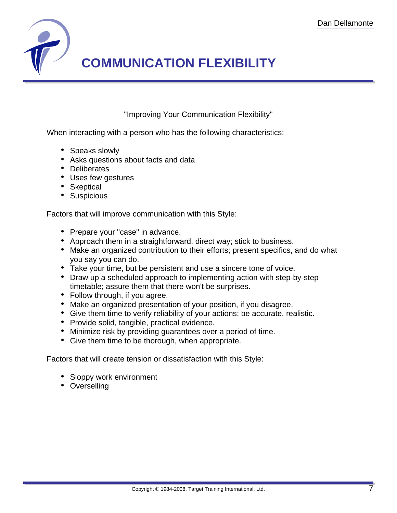

"Improving Your Communication Flexibility"

When interacting with a person who has the following characteristics:

- Speaks slowly
- Asks questions about facts and data
- Deliberates
- Uses few gestures
- Skeptical
- Suspicious

Factors that will improve communication with this Style:

- Prepare your "case" in advance.
- Approach them in a straightforward, direct way; stick to business.
- Make an organized contribution to their efforts; present specifics, and do what you say you can do.
- Take your time, but be persistent and use a sincere tone of voice.
- Draw up a scheduled approach to implementing action with step-by-step timetable; assure them that there won't be surprises.
- Follow through, if you agree.
- Make an organized presentation of your position, if you disagree.
- Give them time to verify reliability of your actions; be accurate, realistic.
- Provide solid, tangible, practical evidence.
- Minimize risk by providing guarantees over a period of time.
- Give them time to be thorough, when appropriate.

- Sloppy work environment
- Overselling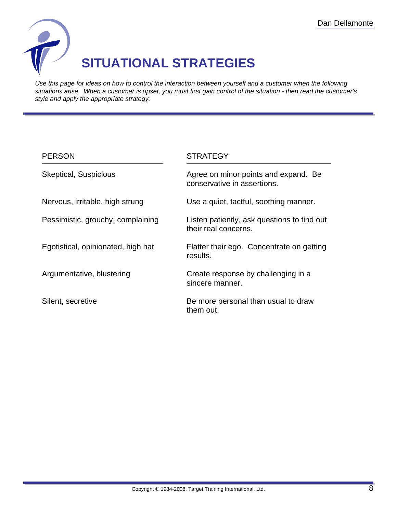

## **SITUATIONAL STRATEGIES**

Use this page for ideas on how to control the interaction between yourself and a customer when the following situations arise. When a customer is upset, you must first gain control of the situation - then read the customer's style and apply the appropriate strategy.

| <b>PERSON</b>                      | <b>STRATEGY</b>                                                     |
|------------------------------------|---------------------------------------------------------------------|
| <b>Skeptical, Suspicious</b>       | Agree on minor points and expand. Be<br>conservative in assertions. |
| Nervous, irritable, high strung    | Use a quiet, tactful, soothing manner.                              |
| Pessimistic, grouchy, complaining  | Listen patiently, ask questions to find out<br>their real concerns. |
| Egotistical, opinionated, high hat | Flatter their ego. Concentrate on getting<br>results.               |
| Argumentative, blustering          | Create response by challenging in a<br>sincere manner.              |
| Silent, secretive                  | Be more personal than usual to draw<br>them out.                    |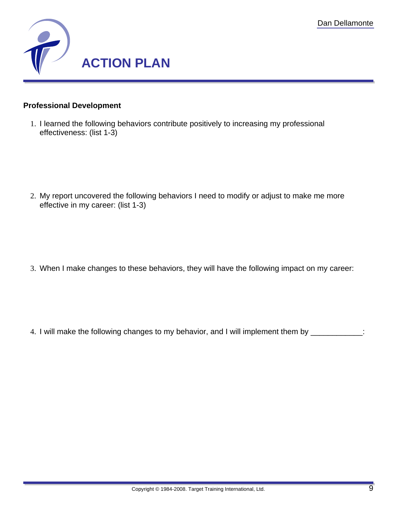

### **Professional Development**

1. I learned the following behaviors contribute positively to increasing my professional effectiveness: (list 1-3)

2. My report uncovered the following behaviors I need to modify or adjust to make me more effective in my career: (list 1-3)

3. When I make changes to these behaviors, they will have the following impact on my career:

4. I will make the following changes to my behavior, and I will implement them by \_\_\_\_\_\_\_\_\_\_\_\_: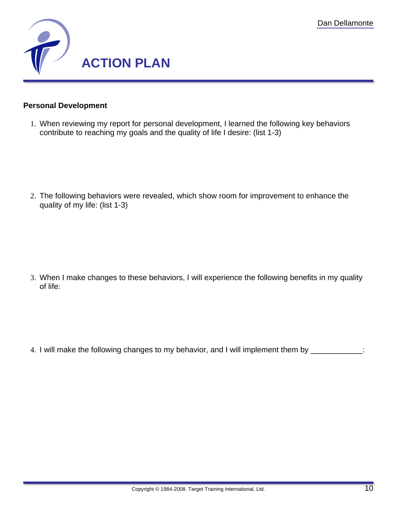

### **Personal Development**

1. When reviewing my report for personal development, I learned the following key behaviors contribute to reaching my goals and the quality of life I desire: (list 1-3)

2. The following behaviors were revealed, which show room for improvement to enhance the quality of my life: (list 1-3)

3. When I make changes to these behaviors, I will experience the following benefits in my quality of life:

4. I will make the following changes to my behavior, and I will implement them by \_\_\_\_\_\_\_\_\_\_\_\_: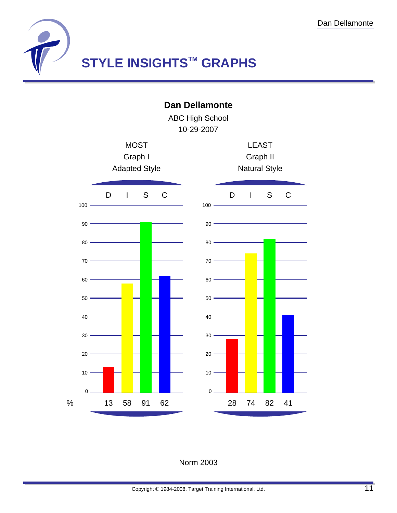

**Dan Dellamonte**

ABC High School 10-29-2007



### Norm 2003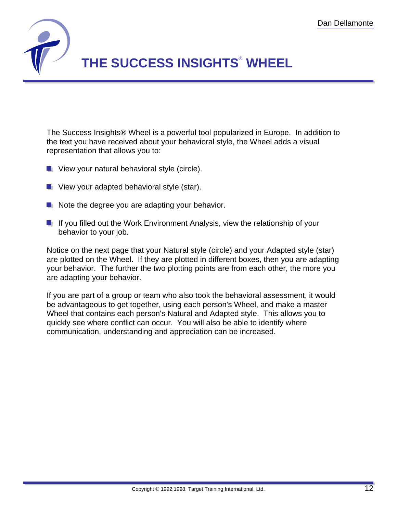

The Success Insights® Wheel is a powerful tool popularized in Europe. In addition to the text you have received about your behavioral style, the Wheel adds a visual representation that allows you to:

- **U** View your natural behavioral style (circle).
- **U** View your adapted behavioral style (star).
- $\blacksquare$  Note the degree you are adapting your behavior.
- **If you filled out the Work Environment Analysis, view the relationship of your** behavior to your job.

Notice on the next page that your Natural style (circle) and your Adapted style (star) are plotted on the Wheel. If they are plotted in different boxes, then you are adapting your behavior. The further the two plotting points are from each other, the more you are adapting your behavior.

If you are part of a group or team who also took the behavioral assessment, it would be advantageous to get together, using each person's Wheel, and make a master Wheel that contains each person's Natural and Adapted style. This allows you to quickly see where conflict can occur. You will also be able to identify where communication, understanding and appreciation can be increased.